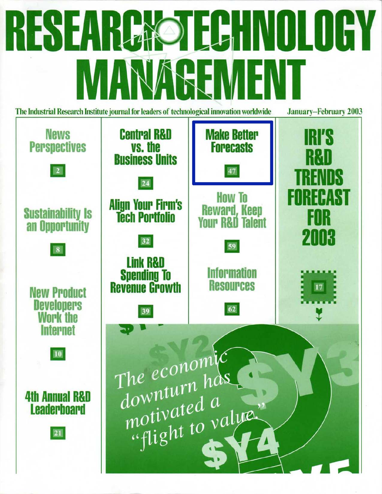# **RESEARCHOLDEY** REMENI The Industrial Research Institute journal for leaders of technological innovation worldwide **January-February 2003**

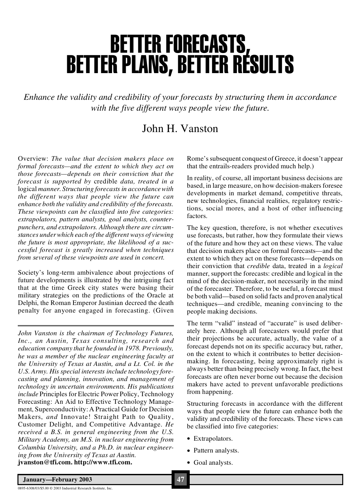# BETTER FORECASTS,<br>BETTER PLANS, BETTER RESULTS

*Enhance the validity and credibility of your forecasts by structuring them in accordance with the five different ways people view the future.*

#### John H. Vanston

Overview: *The value that decision makers place on formal forecasts—and the extent to which they act on those forecasts—depends on their conviction that the forecast is supported by* credible *data, treated in a* logical *manner. Structuring forecasts in accordancewith the different ways that people view the future can enhance both the validity and credibility of the forecasts. These viewpoints can be classified into five categories: extrapolators, pattern analysts, goal analysts, counterpunchers, and extrapolators. Although there are circumstances underwhich each of the different ways of viewing the future is most appropriate, the likelihood of a successful forecast is greatly increased when techniques from several of these viewpoints are used in concert.*

Society's long-term ambivalence about projections of future developments is illustrated by the intriguing fact that at the time Greek city states were basing their military strategies on the predictions of the Oracle at Delphi, the Roman Emperor Justinian decreed the death penalty for anyone engaged in forecasting. (Given

*John Vanston is the chairman of Technology Futures, Inc., an Austin, Texas consulting, research and education company that he founded in 1978. Previously, he was a member of the nuclear engineering faculty at the University of Texas at Austin, and a Lt. Col. in the U.S. Army. His special interests include technology forecasting and planning, innovation, and management of technology in uncertain environments. His publications include* Principles for Electric Power Policy, Technology Forecasting: An Aid to Effective Technology Management, Superconductivity: A Practical Guide for Decision Makers, *and* Innovate! Straight Path to Quality, Customer Delight, and Competitive Advantage. *He received a B.S. in general engineering from the U.S. Military Academy, an M.S. in nuclear engineering from Columbia University, and a Ph.D. in nuclear engineering from the University of Texas at Austin.* **jvanston@tfi.com. <http://www.tfi.com>.**

Rome's subsequent conquest of Greece, it doesn't appear that the entrails-readers provided much help.)

In reality, of course, all important business decisions are based, in large measure, on how decision-makers foresee developments in market demand, competitive threats, new technologies, financial realities, regulatory restrictions, social mores, and a host of other influencing factors.

The key question, therefore, is not whether executives use forecasts, but rather, how they formulate their views of the future and how they act on these views. The value that decision makers place on formal forecasts—and the extent to which they act on these forecasts—depends on their conviction that *credible* data, treated in a *logical* manner, support the forecasts: credible and logical in the mind of the decision-maker, not necessarily in the mind of the forecaster. Therefore, to be useful, a forecast must be both valid—based on solid facts and proven analytical techniques—and credible, meaning convincing to the people making decisions.

The term "valid" instead of "accurate" is used deliberately here. Although all forecasters would prefer that their projections be accurate, actually, the value of a forecast depends not on its specific accuracy but, rather, on the extent to which it contributes to better decisionmaking. In forecasting, being approximately right is always better than being precisely wrong.In fact, the best forecasts are often never borne out because the decision makers have acted to prevent unfavorable predictions from happening.

Structuring forecasts in accordance with the different ways that people view the future can enhance both the validity and credibility of the forecasts. These views can be classified into five categories:

- · Extrapolators.
- Pattern analysts.
- · Goal analysts.

0895-6308/03/\$5.00 © 2003 Industrial Research Institute, Inc.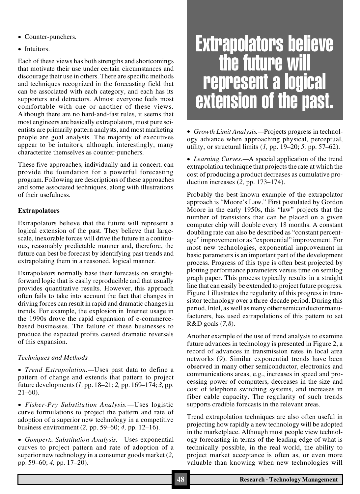- · Counter-punchers.
- Intuitors.

Each of these views has both strengths and shortcomings that motivate their use under certain circumstances and discourage their use in others. There are specific methods and techniques recognized in the forecasting field that can be associated with each category, and each has its supporters and detractors. Almost everyone feels most comfortable with one or another of these views. Although there are no hard-and-fast rules, it seems that most engineers are basically extrapolators, most pure scientists are primarily pattern analysts, and most marketing people are goal analysts. The majority of executives appear to be intuitors, although, interestingly, many characterize themselves as counter-punchers.

These five approaches, individually and in concert, can provide the foundation for a powerful forecasting program. Following are descriptions of these approaches and some associated techniques, along with illustrations of their usefulness.

#### **Extrapolators**

Extrapolators believe that the future will represent a logical extension of the past. They believe that largescale, inexorable forces will drive the future in a continuous, reasonably predictable manner and, therefore, the future can best be forecast by identifying past trends and extrapolating them in a reasoned, logical manner.

Extrapolators normally base their forecasts on straightforward logic that is easily reproducible and that usually provides quantitative results. However, this approach often fails to take into account the fact that changes in driving forces can result in rapid and dramatic changes in trends. For example, the explosion in Internet usage in the 1990s drove the rapid expansion of e-commercebased businesses. The failure of these businesses to produce the expected profits caused dramatic reversals of this expansion.

#### *Techniques and Methods*

· *Trend Extrapolation.—*Uses past data to define a pattern of change and extends that pattern to project future developments(*1,* pp. 18–21; *2,* pp. 169–174; *3,* pp. 21–60).

· *Fisher-Pry Substitution Analysis.—*Uses logistic curve formulations to project the pattern and rate of adoption of a superior new technology in a competitive business environment (*2,* pp. 59–60; *4,* pp. 12–16).

· *Gompertz Substitution Analysis.—*Uses exponential curves to project pattern and rate of adoption of a superior new technology in a consumer goods market (*2,* pp. 59–60; *4,* pp. 17–20).

# Extrapolators believe the future will represent <sup>a</sup> logical extension of the past.

· *Growth Limit Analysis.—*Projects progress in technology advance when approaching physical, perceptual, utility, or structural limits (*1,* pp. 19–20; *5,* pp. 57–62).

· *Learning Curves.—*A special application of the trend extrapolation technique that projects the rate at which the cost of producing a product decreases as cumulative production increases (*2,* pp. 173–174).

Probably the best-known example of the extrapolator approach is "Moore's Law." First postulated by Gordon Moore in the early 1950s, this "law" projects that the number of transistors that can be placed on a given computer chip will double every 18 months. A constant doubling rate can also be described as "constant percentage" improvement or as "exponential" improvement. For most new technologies, exponential improvement in basic parameters is an important part of the development process. Progress of this type is often best projected by plotting performance parameters versus time on semilog graph paper. This process typically results in a straight line that can easily be extended to project future progress. Figure 1 illustrates the regularity of this progress in transistor technology over a three-decade period. During this period, Intel, as well as many other semiconductor manufacturers, has used extrapolations of this pattern to set R&D goals (*7,8*).

Another example of the use of trend analysis to examine future advances in technology is presented in Figure 2, a record of advances in transmission rates in local area networks (*9*). Similar exponential trends have been observed in many other semiconductor, electronics and communications areas, e.g., increases in speed and processing power of computers, decreases in the size and cost of telephone switching systems, and increases in fiber cable capacity. The regularity of such trends supports credible forecasts in the relevant areas.

Trend extrapolation techniques are also often useful in projecting how rapidly a new technology will be adopted in the marketplace. Although most people view technology forecasting in terms of the leading edge of what is technically possible, in the real world, the ability to project market acceptance is often as, or even more valuable than knowing when new technologies will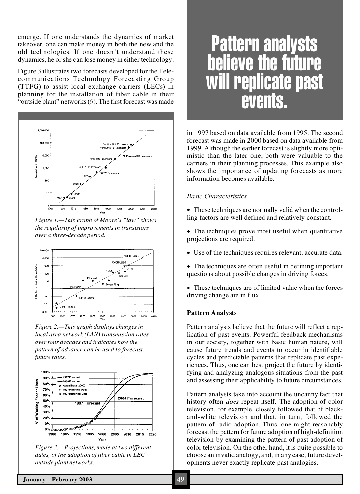emerge. If one understands the dynamics of market takeover, one can make money in both the new and the old technologies. If one doesn't understand these dynamics, he or she can lose money in either technology.

Figure 3 illustrates two forecasts developed for the Telecommunications Technology Forecasting Group (TTFG) to assist local exchange carriers (LECs) in planning for the installation of fiber cable in their "outside plant" networks(*9*). The first forecast was made



*Figure 1.—This graph of Moore's "law" shows the regularity of improvements in transistors over a three-decade period.*



*Figure 2.—This graph displays changes in local area network (LAN) transmission rates over four decades and indicates how the pattern of advance can be used to forecast future rates.*



*Figure 3.—Projections, made at two different dates, of the adoption of fiber cable in LEC outside plant networks.*

## Pattern analysts helieve the futur replicate past events.

in 1997 based on data available from 1995. The second forecast was made in 2000 based on data available from 1999. Although the earlier forecast is slightly more optimistic than the later one, both were valuable to the carriers in their planning processes. This example also shows the importance of updating forecasts as more information becomes available.

#### *Basic Characteristics*

- These techniques are normally valid when the controlling factors are well defined and relatively constant.
- The techniques prove most useful when quantitative projections are required.
- · Use of the techniques requires relevant, accurate data.
- The techniques are often useful in defining important questions about possible changes in driving forces.
- These techniques are of limited value when the forces driving change are in flux.

#### **Pattern Analysts**

Pattern analysts believe that the future will reflect a replication of past events. Powerful feedback mechanisms in our society, together with basic human nature, will cause future trends and events to occur in identifiable cycles and predictable patterns that replicate past experiences. Thus, one can best project the future by identifying and analyzing analogous situations from the past and assessing their applicability to future circumstances.

Pattern analysts take into account the uncanny fact that history often *does* repeat itself. The adoption of color television, for example, closely followed that of blackand-white television and that, in turn, followed the pattern of radio adoption. Thus, one might reasonably forecast the pattern for future adoption of high-definition television by examining the pattern of past adoption of color television. On the other hand, it is quite possible to choose an invalid analogy, and, in any case, future developments never exactly replicate past analogies.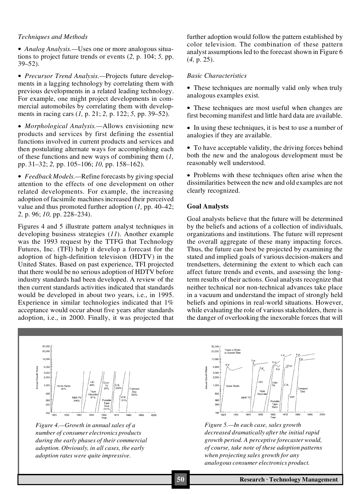#### *Techniques and Methods*

· *Analog Analysis.—*Uses one or more analogous situations to project future trends or events (*2,* p. 104; *5,* pp. 39–52).

· *Precursor Trend Analysis.—*Projects future developments in a lagging technology by correlating them with previous developments in a related leading technology. For example, one might project developments in commercial automobiles by correlating them with developments in racing cars (*1,* p. 21; *2,* p. 122; *5,* pp. 39–52).

· *Morphological Analysis.—*Allows envisioning new products and services by first defining the essential functions involved in current products and services and then postulating alternate ways for accomplishing each of these functions and new ways of combining them (*1,* pp. 31–32; *2,* pp. 105–106; *10,* pp. 158–162).

· *Feedback Models.—*Refine forecasts by giving special attention to the effects of one development on other related developments. For example, the increasing adoption of facsimile machines increased their perceived value and thus promoted further adoption (*1,* pp. 40–42; *2,* p. 96; *10,* pp. 228–234).

Figures 4 and 5 illustrate pattern analyst techniques in developing business strategies (*11*). Another example was the 1993 request by the TTFG that Technology Futures, Inc. (TFI) help it develop a forecast for the adoption of high-definition television (HDTV) in the United States. Based on past experience, TFI projected that there would be no serious adoption of HDTV before industry standards had been developed. A review of the then current standards activities indicated that standards would be developed in about two years, i.e., in 1995. Experience in similar technologies indicated that 1% acceptance would occur about five years after standards adoption, i.e., in 2000. Finally, it was projected that

further adoption would follow the pattern established by color television. The combination of these pattern analyst assumptions led to the forecast shown in Figure 6 (*4,* p. 25).

#### *Basic Characteristics*

• These techniques are normally valid only when truly analogous examples exist.

• These techniques are most useful when changes are first becoming manifest and little hard data are available.

• In using these techniques, it is best to use a number of analogies if they are available.

• To have acceptable validity, the driving forces behind both the new and the analogous development must be reasonably well understood.

• Problems with these techniques often arise when the dissimilarities between the new and old examples are not clearly recognized.

#### **Goal Analysts**

Goal analysts believe that the future will be determined by the beliefs and actions of a collection of individuals, organizations and institutions. The future will represent the overall aggregate of these many impacting forces. Thus, the future can best be projected by examining the stated and implied goals of various decision-makers and trendsetters, determining the extent to which each can affect future trends and events, and assessing the longterm results of their actions. Goal analysts recognize that neither technical nor non-technical advances take place in a vacuum and understand the impact of strongly held beliefs and opinions in real-world situations. However, while evaluating the role of various stakeholders, there is the danger of overlooking the inexorable forces that will



*Figure 4.—Growth in annual sales of a number of consumer electronics products during the early phases of their commercial adoption. Obviously, in all cases, the early adoption rates were quite impressive.*



*Figure 5.—In each case, sales growth decreased dramatically after the initial rapid growth period. A perceptive forecaster would, of course, take note of these adoption patterns when projecting sales growth for any analogous consumer electronics product.*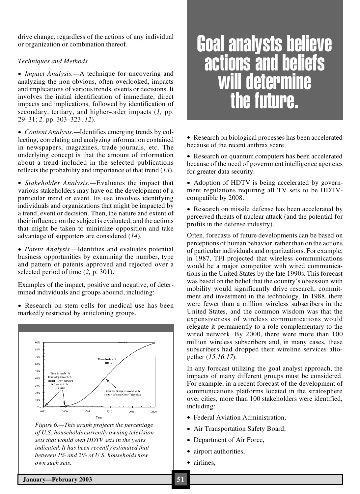drive change, regardless of the actions of any individual or organization or combination thereof.

#### *Techniques and Methods*

· *Impact Analysis.—*A technique for uncovering and analyzing the non-obvious, often overlooked, impacts and implications of various trends, events or decisions. It involves the initial identification of immediate, direct impacts and implications, followed by identification of secondary, tertiary, and higher-order impacts (*1,* pp. 29–31; *2,* pp. 303–323; *12*).

· *Content Analysis.—*Identifies emerging trends by collecting, correlating and analyzing information contained in newspapers, magazines, trade journals, etc. The underlying concept is that the amount of information about a trend included in the selected publications reflects the probability and importance of that trend (*13*).

· *Stakeholder Analysis.—*Evaluates the impact that various stakeholders may have on the development of a particular trend or event. Its use involves identifying individuals and organizations that might be impacted by a trend, event or decision. Then, the nature and extent of their influence on the subject is evaluated, and the actions that might be taken to minimize opposition and take advantage of supporters are considered (*14*).

· *Patent Analysis.—*Identifies and evaluates potential business opportunities by examining the number, type and pattern of patents approved and rejected over a selected period of time (*2,* p. 301).

Examples of the impact, positive and negative, of determined individuals and groups abound, including:

· Research on stem cells for medical use has been markedly restricted by anticloning groups.



*Figure 6.—This graph projects the percentage of U.S. households currently owning television sets that would own HDTV sets in the years indicated. It has been recently estimated that between 1% and 2% of U.S. households now own such sets.*

## Goal analysts believe actions and beliefs will determine the future.

· Research on biological processes has been accelerated because of the recent anthrax scare.

· Research on quantum computers has been accelerated because of the need of government intelligence agencies for greater data security.

• Adoption of HDTV is being accelerated by government regulations requiring all TV sets to be HDTVcompatible by 2008.

· Research on missile defense has been accelerated by perceived threats of nuclear attack (and the potential for profits in the defense industry).

Often, forecasts of future developments can be based on perceptions of human behavior, rather than on the actions of particular individuals and organizations. For example, in 1987, TFI projected that wireless communications would be a major competitor with wired communications in the United States by the late 1990s. This forecast was based on the belief that the country's obsession with mobility would significantly drive research, commitment and investment in the technology. In 1988, there were fewer than a million wireless subscribers in the United States, and the common wisdom was that the expensiveness of wireless communications would relegate it permanently to a role complementary to the wired network. By 2000, there were more than 100 million wireless subscribers and, in many cases, these subscribers had dropped their wireline services altogether (*15,16,17*).

In any forecast utilizing the goal analyst approach, the impacts of many different groups must be considered. For example, in a recent forecast of the development of communications platforms located in the stratosphere over cities, more than 100 stakeholders were identified, including:

- · Federal Aviation Administration,
- Air Transportation Safety Board,
- Department of Air Force,
- airport authorities,
- airlines,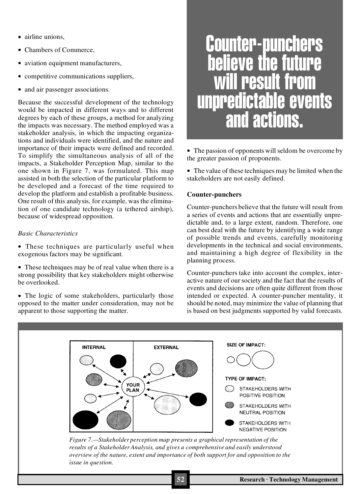- airline unions.
- · Chambers of Commerce,
- aviation equipment manufacturers,
- · competitive communications suppliers,
- and air passenger associations.

Because the successful development of the technology would be impacted in different ways and to different degrees by each of these groups, a method for analyzing the impacts was necessary. The method employed was a stakeholder analysis, in which the impacting organizations and individuals were identified, and the nature and importance of their impacts were defined and recorded. To simplify the simultaneous analysis of all of the impacts, a Stakeholder Perception Map, similar to the one shown in Figure 7, was formulated. This map assisted in both the selection of the particular platform to be developed and a forecast of the time required to develop the platform and establish a profitable business. One result of this analysis, for example, was the elimination of one candidate technology (a tethered airship), because of widespread opposition.

#### *Basic Characteristics*

- · These techniques are particularly useful when exogenousfactors may be significant.
- These techniques may be of real value when there is a strong possibility that key stakeholders might otherwise be overlooked.

• The logic of some stakeholders, particularly those opposed to the matter under consideration, may not be apparent to those supporting the matter.

# Counter-punchers e the **result** unpredictable events and actions.

• The passion of opponents will seldom be overcome by the greater passion of proponents.

· The value of these techniques may be limited when the stakeholders are not easily defined.

#### **Counter-punchers**

Counter-punchers believe that the future will result from a series of events and actions that are essentially unpredictable and, to a large extent, random. Therefore, one can best deal with the future by identifying a wide range of possible trends and events, carefully monitoring developments in the technical and social environments, and maintaining a high degree of flexibility in the planning process.

Counter-punchers take into account the complex, interactive nature of oursociety and the fact that the results of events and decisions are often quite different from those intended or expected. A counter-puncher mentality, it should be noted, may minimize the value of planning that is based on best judgments supported by valid forecasts.

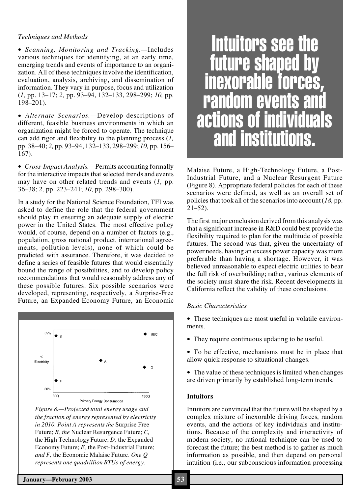#### *Techniques and Methods*

· *Scanning, Monitoring and Tracking.—*Includes various techniques for identifying, at an early time, emerging trends and events of importance to an organization. All of these techniques involve the identification, evaluation, analysis, archiving, and dissemination of information. They vary in purpose, focus and utilization (*1,* pp. 13–17; *2,* pp. 93–94, 132–133, 298–299; *10,* pp. 198–201).

· *Alternate Scenarios.—*Develop descriptions of different, feasible business environments in which an organization might be forced to operate. The technique can add rigor and flexibility to the planning process (*1,* pp. 38–40; *2,* pp. 93–94, 132–133, 298–299; *10,* pp. 156– 167).

· *Cross-Impact Analysis.—*Permits accounting formally for the interactive impacts that selected trends and events may have on other related trends and events (*1,* pp. 36–38; *2,* pp. 223–241; *10,* pp. 298–300).

In a study for the National Science Foundation, TFI was asked to define the role that the federal government should play in ensuring an adequate supply of electric power in the United States. The most effective policy would, of course, depend on a number of factors (e.g., population, gross national product, international agreements, pollution levels), none of which could be predicted with assurance. Therefore, it was decided to define a series of feasible futures that would essentially bound the range of possibilities, and to develop policy recommendations that would reasonably address any of these possible futures. Six possible scenarios were developed, representing, respectively, a Surprise-Free Future, an Expanded Economy Future, an Economic



*Figure 8.—Projected total energy usage and the fraction of energy represented by electricity in 2010. Point A represents the* Surprise Free Future; *B, the* Nuclear Resurgence Future; *C,* the High Technology Future; *D,* the Expanded Economy Future; *E,* the Post-Industrial Future; *and F,* the Economic Malaise Future. *One Q represents one quadrillion BTUs of energy.*



Malaise Future, a High-Technology Future, a Post-Industrial Future, and a Nuclear Resurgent Future (Figure 8). Appropriate federal policies for each of these scenarios were defined, as well as an overall set of policies that took all of the scenariosinto account(*18,* pp.  $21 - 52$ ).

The first major conclusion derived from this analysis was that a significant increase in R&D could best provide the flexibility required to plan for the multitude of possible futures. The second was that, given the uncertainty of power needs, having an excess power capacity was more preferable than having a shortage. However, it was believed unreasonable to expect electric utilities to bear the full risk of overbuilding; rather, various elements of the society must share the risk. Recent developments in California reflect the validity of these conclusions.

#### *Basic Characteristics*

· These techniques are most useful in volatile environments.

- · They require continuous updating to be useful.
- · To be effective, mechanisms must be in place that allow quick response to situational changes.
- The value of these techniques is limited when changes are driven primarily by established long-term trends.

#### **Intuitors**

Intuitors are convinced that the future will be shaped by a complex mixture of inexorable driving forces, random events, and the actions of key individuals and institutions. Because of the complexity and interactivity of modern society, no rational technique can be used to forecast the future; the best method is to gather as much information as possible, and then depend on personal intuition (i.e., our subconscious information processing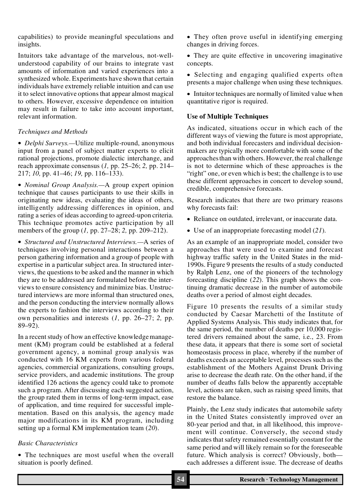capabilities) to provide meaningful speculations and insights.

Intuitors take advantage of the marvelous, not-wellunderstood capability of our brains to integrate vast amounts of information and varied experiences into a synthesized whole. Experiments have shown that certain individuals have extremely reliable intuition and can use it to select innovative options that appear almost magical to others. However, excessive dependence on intuition may result in failure to take into account important, relevant information.

#### *Techniques and Methods*

· *Delphi Surveys.—*Utilize multiple-round, anonymous input from a panel of subject matter experts to elicit rational projections, promote dialectic interchange, and reach approximate consensus (*1,* pp. 25–26; *2,* pp. 214– 217; *10,* pp. 41–46; *19,* pp. 116–133).

· *Nominal Group Analysis.—*A group expert opinion technique that causes participants to use their skills in originating new ideas, evaluating the ideas of others, intelligently addressing differences in opinion, and rating a series of ideas according to agreed-upon criteria. This technique promotes active participation by all members of the group (*1,* pp. 27–28; *2,* pp. 209–212).

· *Structured and Unstructured Interviews.—*A series of techniques involving personal interactions between a person gathering information and a group of people with expertise in a particular subject area. In structured interviews, the questions to be asked and the manner in which they are to be addressed are formulated before the interviews to ensure consistency and minimize bias. Unstructured interviews are more informal than structured ones, and the person conducting the interview normally allows the experts to fashion the interviews according to their own personalities and interests (*1,* pp. 26–27; *2,* pp.  $89 - 92$ ).

In a recent study of how an effective knowledge management (KM) program could be established at a federal government agency, a nominal group analysis was conducted with 16 KM experts from various federal agencies, commercial organizations, consulting groups, service providers, and academic institutions. The group identified 126 actions the agency could take to promote such a program. After discussing each suggested action, the group rated them in terms of long-term impact, ease of application, and time required for successful implementation. Based on this analysis, the agency made major modifications in its KM program, including setting up a formal KM implementation team (*20*).

#### *Basic Characteristics*

• The techniques are most useful when the overall situation is poorly defined.

• They often prove useful in identifying emerging changes in driving forces.

· They are quite effective in uncovering imaginative concepts.

· Selecting and engaging qualified experts often presents a major challenge when using these techniques.

• Intuitor techniques are normally of limited value when quantitative rigor is required.

#### **Use of Multiple Techniques**

As indicated, situations occur in which each of the different ways of viewing the future is most appropriate, and both individual forecasters and individual decisionmakers are typically more comfortable with some of the approaches than with others. However, the real challenge is not to determine which of these approaches is the "right" one, or even which is best; the challenge is to use these different approaches in concert to develop sound, credible, comprehensive forecasts.

Research indicates that there are two primary reasons why forecasts fail:

- · Reliance on outdated, irrelevant, or inaccurate data.
- · Use of an inappropriate forecasting model (*21*).

As an example of an inappropriate model, consider two approaches that were used to examine and forecast highway traffic safety in the United States in the mid-1990s. Figure 9 presents the results of a study conducted by Ralph Lenz, one of the pioneers of the technology forecasting discipline (*22*). This graph shows the continuing dramatic decrease in the number of automobile deaths over a period of almost eight decades.

Figure 10 presents the results of a similar study conducted by Caesar Marchetti of the Institute of Applied Systems Analysis. This study indicates that, for the same period, the number of deaths per 10,000 registered drivers remained about the same, i.e., 23. From these data, it appears that there is some sort of societal homeostasis process in place, whereby if the number of deaths exceeds an acceptable level, processes such as the establishment of the Mothers Against Drunk Driving arise to decrease the death rate. On the other hand, if the number of deaths falls below the apparently acceptable level, actions are taken, such as raising speed limits, that restore the balance.

Plainly, the Lenz study indicates that automobile safety in the United States consistently improved over an 80-year period and that, in all likelihood, this improvement will continue. Conversely, the second study indicates that safety remained essentially constant for the same period and will likely remain so for the foreseeable future. Which analysis is correct? Obviously, both each addresses a different issue. The decrease of deaths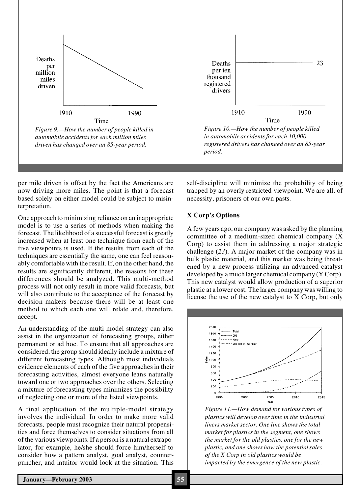

*Figure 9.—How the number of people killed in automobile accidents for each million miles driven has changed over an 85-year period.*



per mile driven is offset by the fact the Americans are now driving more miles. The point is that a forecast based solely on either model could be subject to misinterpretation.

One approach to minimizing reliance on an inappropriate model is to use a series of methods when making the forecast. The likelihood of a successful forecast is greatly increased when at least one technique from each of the five viewpoints is used. If the results from each of the techniques are essentially the same, one can feel reasonably comfortable with the result. If, on the other hand, the results are significantly different, the reasons for these differences should be analyzed. This multi-method process will not only result in more valid forecasts, but will also contribute to the acceptance of the forecast by decision-makers because there will be at least one method to which each one will relate and, therefore, accept.

An understanding of the multi-model strategy can also assist in the organization of forecasting groups, either permanent or ad hoc. To ensure that all approaches are considered, the group should ideally include a mixture of different forecasting types. Although most individuals evidence elements of each of the five approachesin their forecasting activities, almost everyone leans naturally toward one or two approaches over the others. Selecting a mixture of forecasting types minimizes the possibility of neglecting one or more of the listed viewpoints.

A final application of the multiple-model strategy involves the individual. In order to make more valid forecasts, people must recognize their natural propensities and force themselves to consider situations from all of the various viewpoints.If a person is a natural extrapolator, for example, he/she should force him/herself to consider how a pattern analyst, goal analyst, counterpuncher, and intuitor would look at the situation. This self-discipline will minimize the probability of being trapped by an overly restricted viewpoint. We are all, of necessity, prisoners of our own pasts.

#### **X Corp's Options**

A few years ago, our company was asked by the planning committee of a medium-sized chemical company (X Corp) to assist them in addressing a major strategic challenge (*23*). A major market of the company was in bulk plastic material, and this market was being threatened by a new process utilizing an advanced catalyst developed by a much larger chemical company (Y Corp). This new catalyst would allow production of a superior plastic at a lower cost. The larger company was willing to license the use of the new catalyst to X Corp, but only



*Figure 11.—How demand for various types of plastics will develop over time in the industrial liners market sector. One line shows the total market for plastics in the segment, one shows the market for the old plastics, one for the new plastic, and one shows how the potentialsales of the X Corp in old plastics would be impacted by the emergence of the new plastic.*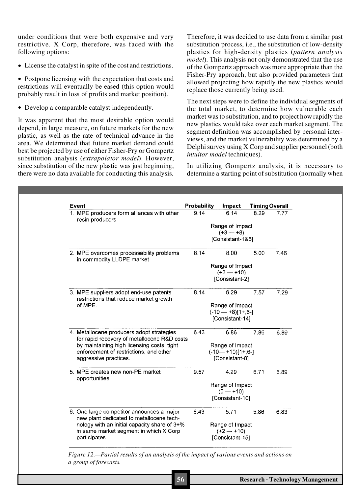under conditions that were both expensive and very restrictive. X Corp, therefore, was faced with the following options:

• License the catalyst in spite of the cost and restrictions.

• Postpone licensing with the expectation that costs and restrictions will eventually be eased (this option would probably result in loss of profits and market position).

· Develop a comparable catalyst independently.

It was apparent that the most desirable option would depend, in large measure, on future markets for the new plastic, as well as the rate of technical advance in the area. We determined that future market demand could best be projected by use of either Fisher-Pry or Gompertz substitution analysis (*extrapolator model*). However, since substitution of the new plastic was just beginning, there were no data available for conducting this analysis.

Therefore, it was decided to use data from a similar past substitution process, i.e., the substitution of low-density plastics for high-density plastics (*pattern analysis model*). This analysis not only demonstrated that the use of the Gompertz approach was more appropriate than the Fisher-Pry approach, but also provided parameters that allowed projecting how rapidly the new plastics would replace those currently being used.

The next steps were to define the individual segments of the total market, to determine how vulnerable each market was to substitution, and to project how rapidly the new plastics would take over each market segment. The segment definition was accomplished by personal interviews, and the market vulnerability was determined by a Delphi survey using X Corp and supplier personnel (both *intuitor model* techniques).

In utilizing Gompertz analysis, it is necessary to determine a starting point of substitution (normally when

|  | 1. MPE producers form alliances with other<br>resin producers.                           | 9.14                          |                                        | 6.14            | 8.29 | 7.77 |  |
|--|------------------------------------------------------------------------------------------|-------------------------------|----------------------------------------|-----------------|------|------|--|
|  |                                                                                          | Range of Impact<br>$(+3 - 8)$ |                                        |                 |      |      |  |
|  |                                                                                          |                               | [Consistant-1&6]                       |                 |      |      |  |
|  | 2. MPE overcomes processability problems<br>in commodity LLDPE market.                   | 8.14                          |                                        | 8.00            | 5.00 | 7.46 |  |
|  |                                                                                          |                               | Range of Impact                        |                 |      |      |  |
|  |                                                                                          |                               | $(+3 - +10)$                           |                 |      |      |  |
|  |                                                                                          |                               |                                        | [Consistant-2]  |      |      |  |
|  | 3. MPE suppliers adopt end-use patents<br>restrictions that reduce market growth         | 8.14                          |                                        | 6.29            | 7.57 | 7.29 |  |
|  | of MPE.                                                                                  |                               | Range of Impact                        |                 |      |      |  |
|  |                                                                                          |                               | $(-10 - 18)[1 + 6]$<br>[Consistant-14] |                 |      |      |  |
|  |                                                                                          |                               |                                        |                 |      |      |  |
|  | 4. Metallocene producers adopt strategies<br>for rapid recovery of metallocene R&D costs | 6.43                          |                                        | 6.86            | 7.86 | 6.89 |  |
|  | by maintaining high licensing costs, tight                                               |                               | Range of Impact                        |                 |      |      |  |
|  | enforcement of restrictions, and other<br>aggressive practices.                          |                               | $(-10 - +10)[1+, 6]$<br>[Consistant-8] |                 |      |      |  |
|  |                                                                                          |                               |                                        |                 |      |      |  |
|  | 5. MPE creates new non-PE market<br>opportunities.                                       | 9.57                          |                                        | 4.29            | 6.71 | 6.89 |  |
|  |                                                                                          |                               | Range of Impact                        |                 |      |      |  |
|  |                                                                                          |                               | $(0 - +10)$                            |                 |      |      |  |
|  |                                                                                          |                               | [Consistant-10]                        |                 |      |      |  |
|  | 6. One large competitor announces a major<br>new plant dedicated to metallocene tech-    | 8.43                          |                                        | 5.71            | 5.86 | 6.83 |  |
|  | nology with an initial capacity share of 3+%                                             |                               | Range of Impact                        |                 |      |      |  |
|  | in same market segment in which X Corp                                                   |                               | $(+2 - +10)$                           |                 |      |      |  |
|  | participates.                                                                            |                               |                                        | [Consistant-15] |      |      |  |

*a group of forecasts.*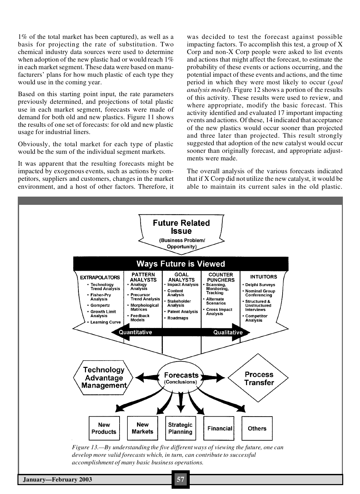1% of the total market has been captured), as well as a basis for projecting the rate of substitution. Two chemical industry data sources were used to determine when adoption of the new plastic had or would reach  $1\%$ in each market segment. These data were based on manufacturers' plans for how much plastic of each type they would use in the coming year.

Based on this starting point input, the rate parameters previously determined, and projections of total plastic use in each market segment, forecasts were made of demand for both old and new plastics. Figure 11 shows the results of one set of forecasts: for old and new plastic usage for industrial liners.

Obviously, the total market for each type of plastic would be the sum of the individual segment markets.

It was apparent that the resulting forecasts might be impacted by exogenous events, such as actions by competitors, suppliers and customers, changes in the market environment, and a host of other factors. Therefore, it was decided to test the forecast against possible impacting factors. To accomplish this test, a group of X Corp and non-X Corp people were asked to list events and actions that might affect the forecast, to estimate the probability of these events or actions occurring, and the potential impact of these events and actions, and the time period in which they were most likely to occur (*goal analysis model*). Figure 12 shows a portion of the results of this activity. These results were used to review, and where appropriate, modify the basic forecast. This activity identified and evaluated 17 important impacting events and actions. Of these, 14 indicated that acceptance of the new plastics would occur sooner than projected and three later than projected. This result strongly suggested that adoption of the new catalyst would occur sooner than originally forecast, and appropriate adjustments were made.

The overall analysis of the various forecasts indicated that if X Corp did not utilize the new catalyst, it would be able to maintain its current sales in the old plastic.